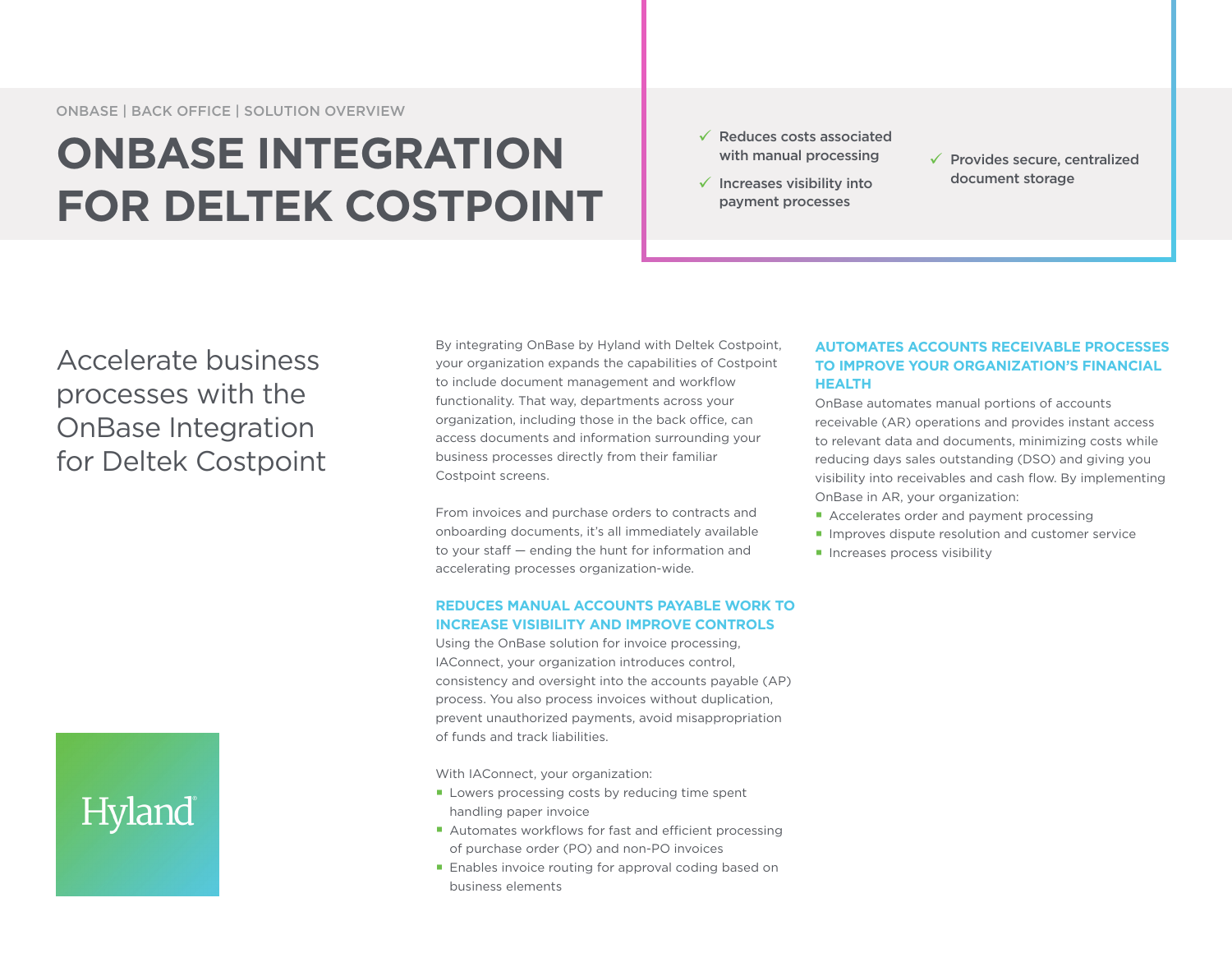## **ONBASE INTEGRATION FOR DELTEK COSTPOINT**

- $\sqrt{\phantom{a}}$  Reduces costs associated with manual processing
- $\checkmark$  Increases visibility into payment processes
- $\checkmark$  Provides secure, centralized document storage

Accelerate business processes with the OnBase Integration for Deltek Costpoint

# Hyland

By integrating OnBase by Hyland with Deltek Costpoint, your organization expands the capabilities of Costpoint to include document management and workflow functionality. That way, departments across your organization, including those in the back office, can access documents and information surrounding your business processes directly from their familiar Costpoint screens.

From invoices and purchase orders to contracts and onboarding documents, it's all immediately available to your staff — ending the hunt for information and accelerating processes organization-wide.

#### **REDUCES MANUAL ACCOUNTS PAYABLE WORK TO INCREASE VISIBILITY AND IMPROVE CONTROLS**

Using the OnBase solution for invoice processing, IAConnect, your organization introduces control, consistency and oversight into the accounts payable (AP) process. You also process invoices without duplication, prevent unauthorized payments, avoid misappropriation of funds and track liabilities.

With IAConnect, your organization:

- Lowers processing costs by reducing time spent handling paper invoice
- Automates workflows for fast and efficient processing of purchase order (PO) and non-PO invoices
- **Enables invoice routing for approval coding based on** business elements

#### **AUTOMATES ACCOUNTS RECEIVABLE PROCESSES TO IMPROVE YOUR ORGANIZATION'S FINANCIAL HEALTH**

OnBase automates manual portions of accounts receivable (AR) operations and provides instant access to relevant data and documents, minimizing costs while reducing days sales outstanding (DSO) and giving you visibility into receivables and cash flow. By implementing OnBase in AR, your organization:

- Accelerates order and payment processing
- **Improves dispute resolution and customer service**
- **Increases process visibility**